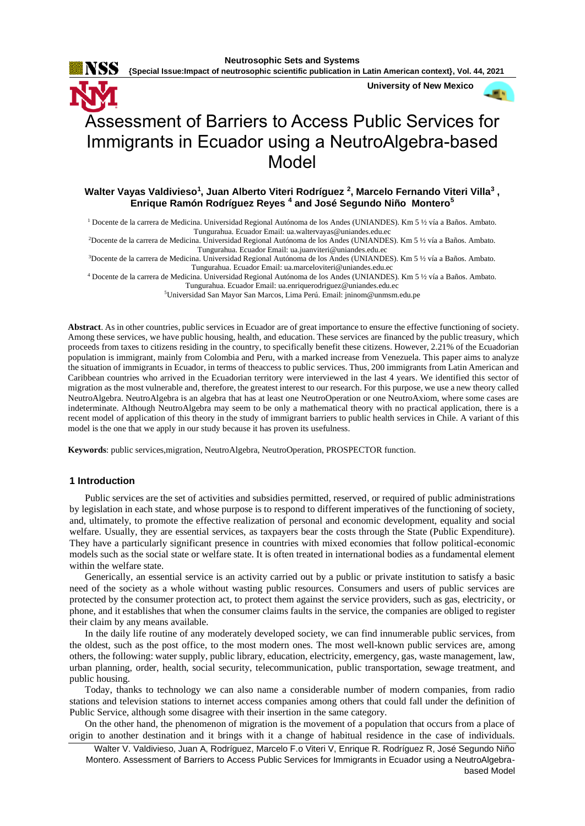

 **University of New Mexico**



# Assessment of Barriers to Access Public Services for Immigrants in Ecuador using a NeutroAlgebra-based Model

# **Walter Vayas Valdivieso<sup>1</sup> , Juan Alberto Viteri Rodríguez <sup>2</sup> , Marcelo Fernando Viteri Villa<sup>3</sup> , Enrique Ramón Rodríguez Reyes <sup>4</sup> and José Segundo Niño Montero<sup>5</sup>**

<sup>1</sup> Docente de la carrera de Medicina. Universidad Regional Autónoma de los Andes (UNIANDES). Km 5 ½ vía a Baños. Ambato. Tungurahua. Ecuador Email: [ua.waltervayas@uniandes.edu.ec](mailto:ua.waltervayas@uniandes.edu.ec)

<sup>2</sup>Docente de la carrera de Medicina. Universidad Regional Autónoma de los Andes (UNIANDES). Km 5 ½ vía a Baños. Ambato. Tungurahua. Ecuador Email[: ua.juanviteri@uniandes.edu.ec](mailto:ua.juanviteri@uniandes.edu.ec)

<sup>3</sup>Docente de la carrera de Medicina. Universidad Regional Autónoma de los Andes (UNIANDES). Km 5 ½ vía a Baños. Ambato. Tungurahua. Ecuador Email[: ua.marceloviteri@uniandes.edu.ec](mailto:ua.marceloviteri@uniandes.edu.ec)

<sup>4</sup> Docente de la carrera de Medicina. Universidad Regional Autónoma de los Andes (UNIANDES). Km 5 ½ vía a Baños. Ambato.

Tungurahua. Ecuador Email[: ua.enriquerodriguez@uniandes.edu.ec](mailto:ua.enriquerodriguez@uniandes.edu.ec)

<sup>5</sup>Universidad San Mayor San Marcos, Lima Perú. Email[: jninom@unmsm.edu.pe](mailto:jninom@unmsm.edu.pe)

**Abstract**. As in other countries, public services in Ecuador are of great importance to ensure the effective functioning of society. Among these services, we have public housing, health, and education. These services are financed by the public treasury, which proceeds from taxes to citizens residing in the country, to specifically benefit these citizens. However, 2.21% of the Ecuadorian population is immigrant, mainly from Colombia and Peru, with a marked increase from Venezuela. This paper aims to analyze the situation of immigrants in Ecuador, in terms of theaccess to public services. Thus, 200 immigrants from Latin American and Caribbean countries who arrived in the Ecuadorian territory were interviewed in the last 4 years. We identified this sector of migration as the most vulnerable and, therefore, the greatest interest to our research. For this purpose, we use a new theory called NeutroAlgebra. NeutroAlgebra is an algebra that has at least one NeutroOperation or one NeutroAxiom, where some cases are indeterminate. Although NeutroAlgebra may seem to be only a mathematical theory with no practical application, there is a recent model of application of this theory in the study of immigrant barriers to public health services in Chile. A variant of this model is the one that we apply in our study because it has proven its usefulness.

**Keywords**: public services,migration, NeutroAlgebra, NeutroOperation, PROSPECTOR function.

## **1 Introduction**

Public services are the set of activities and subsidies permitted, reserved, or required of public administrations by legislation in each state, and whose purpose is to respond to different imperatives of the functioning of society, and, ultimately, to promote the effective realization of personal and economic development, equality and social welfare. Usually, they are essential services, as taxpayers bear the costs through the State (Public Expenditure). They have a particularly significant presence in countries with mixed economies that follow political-economic models such as the social state or welfare state. It is often treated in international bodies as a fundamental element within the welfare state.

Generically, an essential service is an activity carried out by a public or private institution to satisfy a basic need of the society as a whole without wasting public resources. Consumers and users of public services are protected by the consumer protection act, to protect them against the service providers, such as gas, electricity, or phone, and it establishes that when the consumer claims faults in the service, the companies are obliged to register their claim by any means available.

In the daily life routine of any moderately developed society, we can find innumerable public services, from the oldest, such as the post office, to the most modern ones. The most well-known public services are, among others, the following: water supply, public library, education, electricity, emergency, gas, waste management, law, urban planning, order, health, social security, telecommunication, public transportation, sewage treatment, and public housing.

Today, thanks to technology we can also name a considerable number of modern companies, from radio stations and television stations to internet access companies among others that could fall under the definition of Public Service, although some disagree with their insertion in the same category.

On the other hand, the phenomenon of migration is the movement of a population that occurs from a place of origin to another destination and it brings with it a change of habitual residence in the case of individuals.

Walter V. Valdivieso, Juan A, Rodríguez, Marcelo F.o Viteri V, Enrique R. Rodríguez R, José Segundo Niño Montero. Assessment of Barriers to Access Public Services for Immigrants in Ecuador using a NeutroAlgebrabased Model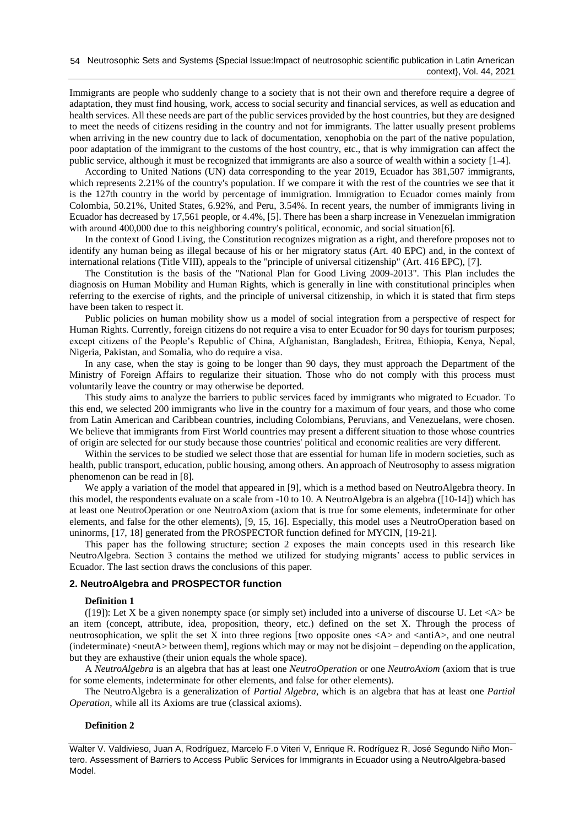Immigrants are people who suddenly change to a society that is not their own and therefore require a degree of adaptation, they must find housing, work, access to social security and financial services, as well as education and health services. All these needs are part of the public services provided by the host countries, but they are designed to meet the needs of citizens residing in the country and not for immigrants. The latter usually present problems when arriving in the new country due to lack of documentation, xenophobia on the part of the native population, poor adaptation of the immigrant to the customs of the host country, etc., that is why immigration can affect the public service, although it must be recognized that immigrants are also a source of wealth within a society [\[1-4\]](#page-6-0).

According to United Nations (UN) data corresponding to the year 2019, Ecuador has 381,507 immigrants, which represents 2.21% of the country's population. If we compare it with the rest of the countries we see that it is the 127th country in the world by percentage of immigration. Immigration to Ecuador comes mainly from Colombia, 50.21%, United States, 6.92%, and Peru, 3.54%. In recent years, the number of immigrants living in Ecuador has decreased by 17,561 people, or 4.4%, [\[5\]](#page-6-1). There has been a sharp increase in Venezuelan immigration with around 400,000 due to this neighboring country's political, economic, and social situation [\[6\]](#page-7-0).

In the context of Good Living, the Constitution recognizes migration as a right, and therefore proposes not to identify any human being as illegal because of his or her migratory status (Art. 40 EPC) and, in the context of international relations (Title VIII), appeals to the "principle of universal citizenship" (Art. 416 EPC), [\[7\]](#page-7-1).

The Constitution is the basis of the "National Plan for Good Living 2009-2013". This Plan includes the diagnosis on Human Mobility and Human Rights, which is generally in line with constitutional principles when referring to the exercise of rights, and the principle of universal citizenship, in which it is stated that firm steps have been taken to respect it.

Public policies on human mobility show us a model of social integration from a perspective of respect for Human Rights. Currently, foreign citizens do not require a visa to enter Ecuador for 90 days for tourism purposes; except citizens of the People's Republic of China, Afghanistan, Bangladesh, Eritrea, Ethiopia, Kenya, Nepal, Nigeria, Pakistan, and Somalia, who do require a visa.

In any case, when the stay is going to be longer than 90 days, they must approach the Department of the Ministry of Foreign Affairs to regularize their situation. Those who do not comply with this process must voluntarily leave the country or may otherwise be deported.

This study aims to analyze the barriers to public services faced by immigrants who migrated to Ecuador. To this end, we selected 200 immigrants who live in the country for a maximum of four years, and those who come from Latin American and Caribbean countries, including Colombians, Peruvians, and Venezuelans, were chosen. We believe that immigrants from First World countries may present a different situation to those whose countries of origin are selected for our study because those countries' political and economic realities are very different.

Within the services to be studied we select those that are essential for human life in modern societies, such as health, public transport, education, public housing, among others. An approach of Neutrosophy to assess migration phenomenon can be read in [\[8\]](#page-7-2).

We apply a variation of the model that appeared in [\[9\]](#page-7-3), which is a method based on NeutroAlgebra theory. In this model, the respondents evaluate on a scale from -10 to 10. A NeutroAlgebra is an algebra ([\[10-14\]](#page-7-4)) which has at least one NeutroOperation or one NeutroAxiom (axiom that is true for some elements, indeterminate for other elements, and false for the other elements), [\[9,](#page-7-3) [15,](#page-7-5) [16\]](#page-7-6). Especially, this model uses a NeutroOperation based on uninorms, [\[17,](#page-7-7) [18\]](#page-7-8) generated from the PROSPECTOR function defined for MYCIN, [\[19-21\]](#page-7-9).

This paper has the following structure; section 2 exposes the main concepts used in this research like NeutroAlgebra. Section 3 contains the method we utilized for studying migrants' access to public services in Ecuador. The last section draws the conclusions of this paper.

# **2. NeutroAlgebra and PROSPECTOR function**

# **Definition 1**

([\[19\]](#page-7-9)): Let X be a given nonempty space (or simply set) included into a universe of discourse U. Let  $\langle A \rangle$  be an item (concept, attribute, idea, proposition, theory, etc.) defined on the set X. Through the process of neutrosophication, we split the set X into three regions [two opposite ones  $\langle A \rangle$  and  $\langle \text{antiA}\rangle$ , and one neutral (indeterminate) <neutA> between them], regions which may or may not be disjoint – depending on the application, but they are exhaustive (their union equals the whole space).

A *NeutroAlgebra* is an algebra that has at least one *NeutroOperation* or one *NeutroAxiom* (axiom that is true for some elements, indeterminate for other elements, and false for other elements).

The NeutroAlgebra is a generalization of *Partial Algebra*, which is an algebra that has at least one *Partial Operation*, while all its Axioms are true (classical axioms).

# **Definition 2**

Walter V. Valdivieso, Juan A, Rodríguez, Marcelo F.o Viteri V, Enrique R. Rodríguez R, José Segundo Niño Montero. Assessment of Barriers to Access Public Services for Immigrants in Ecuador using a NeutroAlgebra-based Model.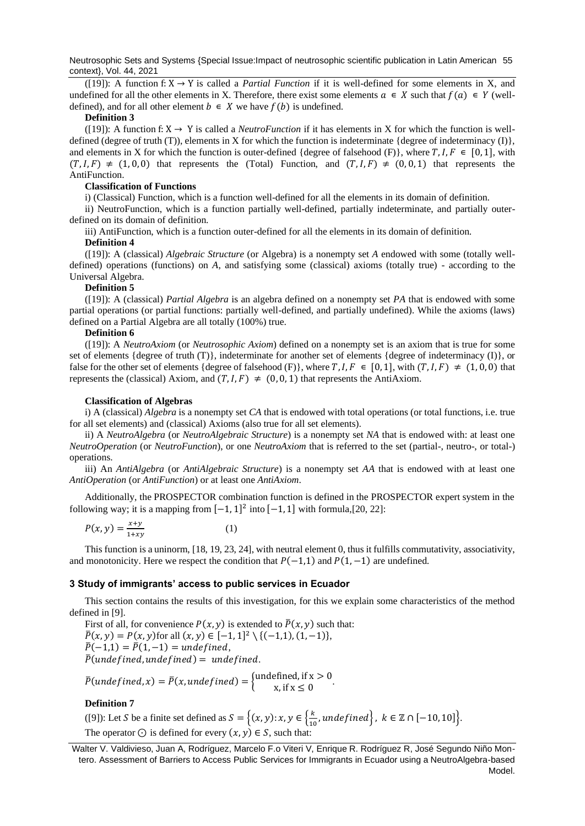Neutrosophic Sets and Systems {Special Issue:Impact of neutrosophic scientific publication in Latin American 55 context}, Vol. 44, 2021

([\[19\]](#page-7-9)): A function f:  $X \rightarrow Y$  is called a *Partial Function* if it is well-defined for some elements in X, and undefined for all the other elements in X. Therefore, there exist some elements  $a \in X$  such that  $f(a) \in Y$  (welldefined), and for all other element  $b \in X$  we have  $f(b)$  is undefined.

#### **Definition 3**

([\[19\]](#page-7-9)): A function f:  $X \rightarrow Y$  is called a *NeutroFunction* if it has elements in X for which the function is welldefined (degree of truth (T)), elements in X for which the function is indeterminate {degree of indeterminacy (I)}, and elements in X for which the function is outer-defined {degree of falsehood (F)}, where  $T, I, F \in [0, 1]$ , with  $(T, I, F) \neq (1, 0, 0)$  that represents the (Total) Function, and  $(T, I, F) \neq (0, 0, 1)$  that represents the AntiFunction.

# **Classification of Functions**

i) (Classical) Function, which is a function well-defined for all the elements in its domain of definition.

ii) NeutroFunction, which is a function partially well-defined, partially indeterminate, and partially outerdefined on its domain of definition.

iii) AntiFunction, which is a function outer-defined for all the elements in its domain of definition.

## **Definition 4**

([\[19\]](#page-7-9)): A (classical) *Algebraic Structure* (or Algebra) is a nonempty set *A* endowed with some (totally welldefined) operations (functions) on *A*, and satisfying some (classical) axioms (totally true) - according to the Universal Algebra.

# **Definition 5**

([\[19\]](#page-7-9)): A (classical) *Partial Algebra* is an algebra defined on a nonempty set *PA* that is endowed with some partial operations (or partial functions: partially well-defined, and partially undefined). While the axioms (laws) defined on a Partial Algebra are all totally (100%) true.

## **Definition 6**

([\[19\]](#page-7-9)): A *NeutroAxiom* (or *Neutrosophic Axiom*) defined on a nonempty set is an axiom that is true for some set of elements {degree of truth  $(T)$ }, indeterminate for another set of elements {degree of indeterminacy  $(I)$ }, or false for the other set of elements {degree of falsehood (F)}, where  $T, I, F \in [0, 1]$ , with  $(T, I, F) \neq (1, 0, 0)$  that represents the (classical) Axiom, and  $(T, I, F) \neq (0, 0, 1)$  that represents the AntiAxiom.

## **Classification of Algebras**

i) A (classical) *Algebra* is a nonempty set *CA* that is endowed with total operations (or total functions, i.e. true for all set elements) and (classical) Axioms (also true for all set elements).

ii) A *NeutroAlgebra* (or *NeutroAlgebraic Structure*) is a nonempty set *NA* that is endowed with: at least one *NeutroOperation* (or *NeutroFunction*), or one *NeutroAxiom* that is referred to the set (partial-, neutro-, or total-) operations.

iii) An *AntiAlgebra* (or *AntiAlgebraic Structure*) is a nonempty set *AA* that is endowed with at least one *AntiOperation* (or *AntiFunction*) or at least one *AntiAxiom*.

Additionally, the PROSPECTOR combination function is defined in the PROSPECTOR expert system in the following way; it is a mapping from  $[-1, 1]^2$  into  $[-1, 1]$  with formula, [\[20,](#page-7-10) [22\]](#page-7-11):

$$
P(x, y) = \frac{x+y}{1+xy} \tag{1}
$$

This function is a uninorm, [\[18,](#page-7-8) [19,](#page-7-9) [23,](#page-7-12) [24\]](#page-7-13), with neutral element 0, thus it fulfills commutativity, associativity, and monotonicity. Here we respect the condition that  $P(-1,1)$  and  $P(1,-1)$  are undefined.

# **3 Study of immigrants' access to public services in Ecuador**

This section contains the results of this investigation, for this we explain some characteristics of the method defined in [\[9\]](#page-7-3).

First of all, for convenience  $P(x, y)$  is extended to  $\overline{P}(x, y)$  such that:  $\overline{P}(x, y) = P(x, y)$  for all  $(x, y) \in [-1, 1]^2 \setminus \{(-1, 1), (1, -1)\},\$  $\bar{P}(-1,1) = \bar{P}(1,-1) =$  undefined,  $\bar{P}$ (undefined, undefined) = undefined.

$$
\overline{P}(\text{undefined}, x) = \overline{P}(x, \text{undefined}) = \begin{cases} \text{undefined, if } x > 0 \\ x, \text{ if } x \le 0 \end{cases}.
$$

#### **Definition 7**

([\[9\]](#page-7-3)): Let S be a finite set defined as  $S = \{(x, y): x, y \in \{\frac{k}{4}, \frac{1}{5}\}$  $\frac{\kappa}{10}$ , undefined $\Big\}$ ,  $k \in \mathbb{Z} \cap [-10, 10]\Big\}$ . The operator  $\odot$  is defined for every  $(x, y) \in S$ , such that:

Walter V. Valdivieso, Juan A, Rodríguez, Marcelo F.o Viteri V, Enrique R. Rodríguez R, José Segundo Niño Montero. Assessment of Barriers to Access Public Services for Immigrants in Ecuador using a NeutroAlgebra-based Model.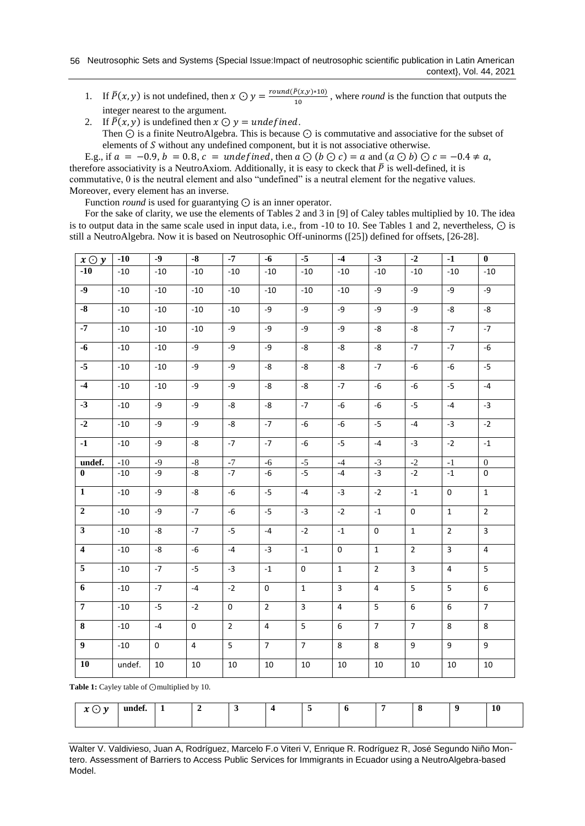# 56 Neutrosophic Sets and Systems {Special Issue:Impact of neutrosophic scientific publication in Latin American context}, Vol. 44, 2021

- 1. If  $\bar{P}(x, y)$  is not undefined, then  $x \odot y = \frac{round(\bar{P}(x, y) * 10)}{10}$  $\frac{10}{10}$ , where *round* is the function that outputs the integer nearest to the argument.
- 2. If  $\overline{P}(x, y)$  is undefined then  $x \odot y =$  undefined. Then ⊙ is a finite NeutroAlgebra. This is because ⊙ is commutative and associative for the subset of elements of  $S$  without any undefined component, but it is not associative otherwise.

E.g., if  $a = -0.9$ ,  $b = 0.8$ ,  $c =$  undefined, then  $a \odot (b \odot c) = a$  and  $(a \odot b) \odot c = -0.4 \neq a$ , therefore associativity is a NeutroAxiom. Additionally, it is easy to ckeck that  $\bar{P}$  is well-defined, it is commutative, 0 is the neutral element and also "undefined" is a neutral element for the negative values. Moreover, every element has an inverse.

Function *round* is used for guarantying ⊙ is an inner operator.

For the sake of clarity, we use the elements of Tables 2 and 3 in [\[9\]](#page-7-3) of Caley tables multiplied by 10. The idea is to output data in the same scale used in input data, i.e., from -10 to 10. See Tables 1 and 2, nevertheless, ⊙ is still a NeutroAlgebra. Now it is based on Neutrosophic Off-uninorms ([\[25\]](#page-7-14)) defined for offsets, [\[26-28\]](#page-7-15).

| $x \odot y$             | $-10$  | $-9$  | $-8$           | $-7$           | $-6$           | $-5$           | $-4$           | $-3$           | $-2$              | $-1$           | $\mathbf{0}$     |
|-------------------------|--------|-------|----------------|----------------|----------------|----------------|----------------|----------------|-------------------|----------------|------------------|
| $-10$                   | $-10$  | $-10$ | $-10$          | $-10$          | $-10$          | $-10$          | $-10$          | $-10$          | $-10$             | $-10$          | $-10$            |
| $\overline{.9}$         | $-10$  | $-10$ | $-10$          | $-10$          | $-10$          | $-10$          | $-10$          | -9             | -9                | -9             | $-9$             |
| $-8$                    | $-10$  | $-10$ | $-10$          | $-10$          | -9             | -9             | -9             | -9             | -9                | -8             | -8               |
| $\overline{.7}$         | $-10$  | $-10$ | $-10$          | -9             | -9             | $-9$           | $-9$           | -8             | -8                | $-7$           | $-7$             |
| $-6$                    | $-10$  | $-10$ | $-9$           | -9             | -9             | -8             | -8             | $\mbox{-}8$    | $-7$              | $-7$           | -6               |
| $-5$                    | $-10$  | $-10$ | -9             | $-9$           | -8             | -8             | -8             | $-7$           | -6                | -6             | $-5$             |
| $-4$                    | $-10$  | $-10$ | -9             | $-9$           | -8             | -8             | $-7$           | $-6$           | $-6$              | $-5$           | $-4$             |
| $-3$                    | $-10$  | -9    | -9             | -8             | -8             | $-7$           | -6             | -6             | $-5$              | $-4$           | $-3$             |
| $-2$                    | $-10$  | $-9$  | $-9$           | -8             | $-7$           | $-6$           | -6             | $-5$           | $-4$              | $-3$           | $-2$             |
| $\overline{1}$          | $-10$  | -9    | -8             | $-7$           | $-7$           | $-6$           | $-5$           | $-4$           | $-3$              | $-2$           | $\text{-}1$      |
| undef.                  | $-10$  | $-9$  | $\text{-}8$    | $-7$           | $-6$           | $-5$           | $-4$           | $-3$           | $\textnormal{-}2$ | $^{\rm -1}$    | $\boldsymbol{0}$ |
| $\bf{0}$                | $-10$  | -9    | -8             | $-7$           | $-6$           | $-5$           | -4             | $-3$           | $-2$              | $-1$           | 0                |
| $\mathbf{1}$            | $-10$  | -9    | -8             | -6             | $-5$           | $-4$           | $-3$           | $-2$           | $-1$              | $\mathsf{O}$   | $\mathbf{1}$     |
| $\mathbf{2}$            | $-10$  | -9    | $-7$           | -6             | $-5$           | $-3$           | $-2$           | $-1$           | $\mathbf 0$       | $\mathbf{1}$   | $\overline{2}$   |
| 3 <sup>1</sup>          | $-10$  | -8    | $-7$           | $-5$           | $-4$           | $-2$           | $-1$           | 0              | $\mathbf{1}$      | $\overline{2}$ | $\mathbf{3}$     |
| $\overline{\mathbf{4}}$ | $-10$  | -8    | $-6$           | $-4$           | $-3$           | $^{\mbox{-}}1$ | $\mathsf 0$    | $\mathbf{1}$   | $\overline{2}$    | $\overline{3}$ | $\overline{4}$   |
| $\overline{5}$          | $-10$  | $-7$  | $-5$           | $-3$           | $-1$           | $\mathbf 0$    | $\mathbf{1}$   | $\overline{2}$ | $\overline{3}$    | $\overline{4}$ | 5                |
| 6                       | $-10$  | $-7$  | $-4$           | $-2$           | $\mathbf 0$    | $\mathbf{1}$   | $\overline{3}$ | 4              | 5                 | $5\phantom{.}$ | 6                |
| $\overline{7}$          | $-10$  | $-5$  | $-2$           | $\mathsf 0$    | $\overline{2}$ | $\overline{3}$ | $\overline{4}$ | 5              | 6                 | 6              | $\overline{7}$   |
| 8                       | $-10$  | $-4$  | 0              | $\overline{2}$ | $\overline{4}$ | 5              | 6              | $\overline{7}$ | $\overline{7}$    | 8              | 8                |
| 9 <sup>1</sup>          | $-10$  | 0     | $\overline{4}$ | 5              | $\overline{7}$ | $\overline{7}$ | 8              | 8              | 9                 | 9              | 9                |
| 10                      | undef. | 10    | 10             | 10             | 10             | 10             | 10             | $10\,$         | $10\,$            | 10             | 10               |

**Table 1:** Cayley table of ⊙multiplied by 10.

| $\ddot{\phantom{0}}$<br>$\overline{\phantom{a}}$<br>$\sim$<br>$\check{ }$ | க்சீ<br>undef. | . . |  |  |  |  | 10 |
|---------------------------------------------------------------------------|----------------|-----|--|--|--|--|----|
|                                                                           |                |     |  |  |  |  |    |

Walter V. Valdivieso, Juan A, Rodríguez, Marcelo F.o Viteri V, Enrique R. Rodríguez R, José Segundo Niño Montero. Assessment of Barriers to Access Public Services for Immigrants in Ecuador using a NeutroAlgebra-based Model.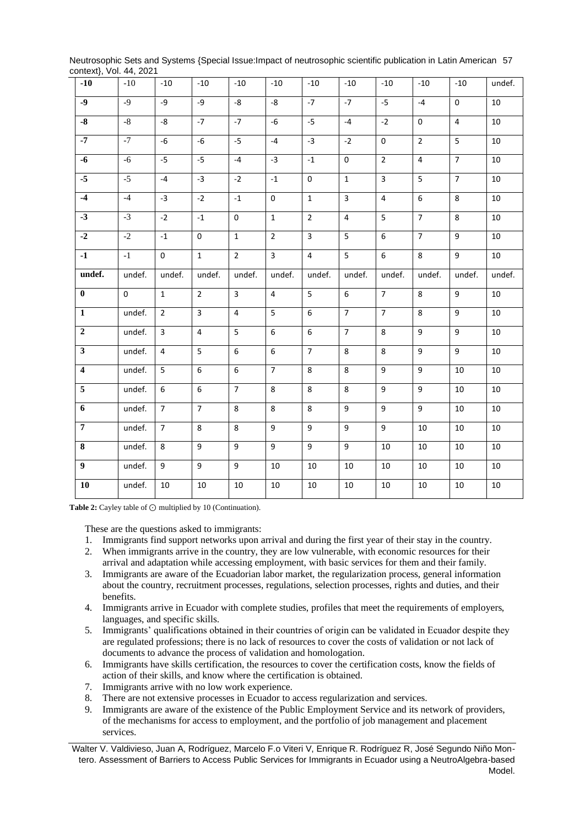| context}, Vol. 44, 2021:       |          |                |                |                |                     |                |                |                |                     |                |        |
|--------------------------------|----------|----------------|----------------|----------------|---------------------|----------------|----------------|----------------|---------------------|----------------|--------|
| $-10$                          | $-10$    | $-10$          | $-10$          | $-10$          | $-10$               | $-10$          | $-10$          | $-10$          | $-10$               | $-10$          | undef. |
| $-9$                           | $-9$     | -9             | -9             | -8             | -8                  | $-7$           | $-7$           | $-5$           | $-4$                | $\mathbf 0$    | 10     |
| $-8$                           | $-8$     | -8             | $-7$           | $-7$           | $-6$                | $-5$           | $-4$           | $-2$           | $\mathsf{O}\xspace$ | $\overline{4}$ | 10     |
| $-7$                           | $-7$     | $-6$           | $-6$           | $-5$           | $-4$                | $-3$           | $-2$           | $\pmb{0}$      | $\overline{2}$      | 5              | 10     |
| $-6$                           | $-6$     | $-5$           | $-5$           | $-4$           | $-3$                | $-1$           | $\mathbf 0$    | $\overline{2}$ | $\overline{4}$      | $\overline{7}$ | 10     |
| $-5$                           | $-5$     | $-4$           | $-3$           | $-2$           | $-1$                | 0              | $\mathbf{1}$   | $\overline{3}$ | 5                   | $\overline{7}$ | 10     |
| $-4$                           | $-4$     | $-3$           | $-2$           | $\text{-}1$    | $\mathsf{O}\xspace$ | $\mathbf{1}$   | $\overline{3}$ | $\overline{4}$ | $\sf 6$             | 8              | 10     |
| $-3$                           | $-3$     | $-2$           | $-1$           | $\mathbf 0$    | $\mathbf{1}$        | $\overline{2}$ | 4              | 5              | $\overline{7}$      | 8              | 10     |
| $-2$                           | $-2$     | $-1$           | $\mathbf 0$    | $\mathbf{1}$   | $\overline{2}$      | $\overline{3}$ | 5              | 6              | $\overline{7}$      | 9              | 10     |
| $\overline{\cdot \cdot \cdot}$ | $-1$     | 0              | $\mathbf{1}$   | $\overline{2}$ | $\overline{3}$      | $\overline{4}$ | $\overline{5}$ | $\overline{6}$ | 8                   | $\overline{9}$ | 10     |
| undef.                         | undef.   | undef.         | undef.         | undef.         | undef.              | undef.         | undef.         | undef.         | undef.              | undef.         | undef. |
| $\bf{0}$                       | $\Omega$ | $\mathbf{1}$   | $\overline{2}$ | $\overline{3}$ | $\overline{4}$      | 5              | 6              | $\overline{7}$ | 8                   | 9              | 10     |
| $\mathbf{1}$                   | undef.   | $\overline{2}$ | $\overline{3}$ | $\overline{4}$ | 5                   | 6              | $\overline{7}$ | $\overline{7}$ | 8                   | 9              | 10     |
| $\mathbf 2$                    | undef.   | $\overline{3}$ | $\overline{4}$ | 5              | 6                   | 6              | $\overline{7}$ | 8              | $\boldsymbol{9}$    | 9              | $10\,$ |
| $\overline{\mathbf{3}}$        | undef.   | $\overline{4}$ | 5              | 6              | 6                   | $\overline{7}$ | 8              | 8              | $9\,$               | 9              | 10     |
| $\overline{4}$                 | undef.   | $\overline{5}$ | $\overline{6}$ | 6              | $\overline{7}$      | 8              | 8              | $\overline{9}$ | $\overline{9}$      | 10             | 10     |
| $\overline{5}$                 | undef.   | 6              | 6              | $\overline{7}$ | 8                   | 8              | 8              | 9              | 9                   | $10\,$         | $10\,$ |
| $\overline{6}$                 | undef.   | $\overline{7}$ | $\overline{7}$ | 8              | 8                   | 8              | $\overline{9}$ | $\overline{9}$ | $\overline{9}$      | 10             | 10     |
| $\overline{7}$                 | undef.   | $\overline{7}$ | 8              | 8              | 9                   | 9              | 9              | 9              | 10                  | $10\,$         | 10     |
| $\bf{8}$                       | undef.   | 8              | 9              | 9              | 9                   | 9              | 9              | 10             | 10                  | 10             | 10     |
| $\overline{9}$                 | undef.   | 9              | 9              | 9              | $10\,$              | $10\,$         | 10             | $10\,$         | $10\,$              | $10\,$         | 10     |
| ${\bf 10}$                     | undef.   | 10             | 10             | 10             | $10\,$              | $10\,$         | $10\,$         | $10\,$         | $10\,$              | 10             | $10\,$ |

Neutrosophic Sets and Systems {Special Issue:Impact of neutrosophic scientific publication in Latin American 57 context}, Vol. 44, 2021

**Table 2:** Cayley table of ⊙ multiplied by 10 (Continuation).

These are the questions asked to immigrants:

- 1. Immigrants find support networks upon arrival and during the first year of their stay in the country.
- 2. When immigrants arrive in the country, they are low vulnerable, with economic resources for their arrival and adaptation while accessing employment, with basic services for them and their family.
- 3. Immigrants are aware of the Ecuadorian labor market, the regularization process, general information about the country, recruitment processes, regulations, selection processes, rights and duties, and their benefits.
- 4. Immigrants arrive in Ecuador with complete studies, profiles that meet the requirements of employers, languages, and specific skills.
- 5. Immigrants' qualifications obtained in their countries of origin can be validated in Ecuador despite they are regulated professions; there is no lack of resources to cover the costs of validation or not lack of documents to advance the process of validation and homologation.
- 6. Immigrants have skills certification, the resources to cover the certification costs, know the fields of action of their skills, and know where the certification is obtained.
- 7. Immigrants arrive with no low work experience.
- 8. There are not extensive processes in Ecuador to access regularization and services.
- 9. Immigrants are aware of the existence of the Public Employment Service and its network of providers, of the mechanisms for access to employment, and the portfolio of job management and placement services.

Walter V. Valdivieso, Juan A, Rodríguez, Marcelo F.o Viteri V, Enrique R. Rodríguez R, José Segundo Niño Montero. Assessment of Barriers to Access Public Services for Immigrants in Ecuador using a NeutroAlgebra-based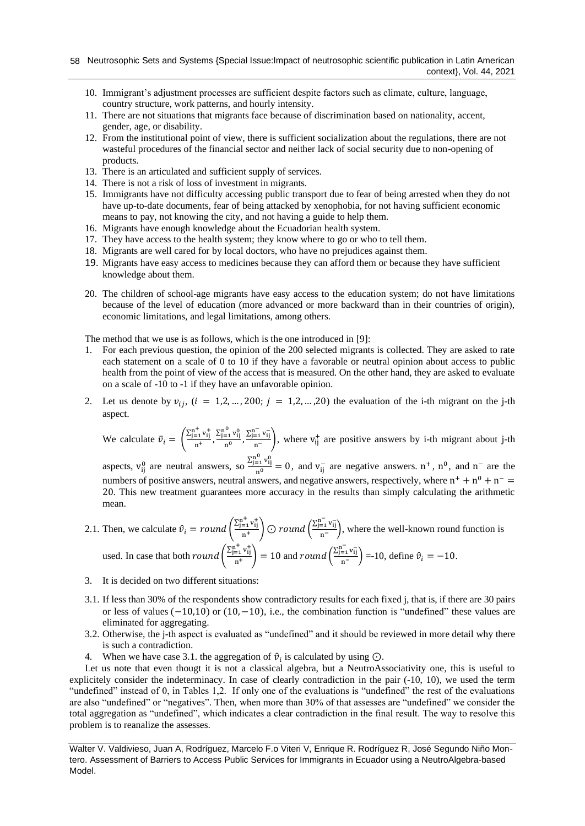- 10. Immigrant's adjustment processes are sufficient despite factors such as climate, culture, language, country structure, work patterns, and hourly intensity.
- 11. There are not situations that migrants face because of discrimination based on nationality, accent, gender, age, or disability.
- 12. From the institutional point of view, there is sufficient socialization about the regulations, there are not wasteful procedures of the financial sector and neither lack of social security due to non-opening of products.
- 13. There is an articulated and sufficient supply of services.
- 14. There is not a risk of loss of investment in migrants.
- 15. Immigrants have not difficulty accessing public transport due to fear of being arrested when they do not have up-to-date documents, fear of being attacked by xenophobia, for not having sufficient economic means to pay, not knowing the city, and not having a guide to help them.
- 16. Migrants have enough knowledge about the Ecuadorian health system.
- 17. They have access to the health system; they know where to go or who to tell them.
- 18. Migrants are well cared for by local doctors, who have no prejudices against them.
- 19. Migrants have easy access to medicines because they can afford them or because they have sufficient knowledge about them.
- 20. The children of school-age migrants have easy access to the education system; do not have limitations because of the level of education (more advanced or more backward than in their countries of origin), economic limitations, and legal limitations, among others.

The method that we use is as follows, which is the one introduced in [\[9\]](#page-7-3):

- 1. For each previous question, the opinion of the 200 selected migrants is collected. They are asked to rate each statement on a scale of 0 to 10 if they have a favorable or neutral opinion about access to public health from the point of view of the access that is measured. On the other hand, they are asked to evaluate on a scale of -10 to -1 if they have an unfavorable opinion.
- 2. Let us denote by  $v_{ij}$ ,  $(i = 1,2,...,200; j = 1,2,...,20)$  the evaluation of the i-th migrant on the j-th aspect.

We calculate 
$$
\bar{v}_i = \left(\frac{\sum_{j=1}^{n^+} v_{ij}^+}{n^+}, \frac{\sum_{j=1}^{n^0} v_{ij}^0}{n^0}, \frac{\sum_{j=1}^{n^-} v_{ij}^-}{n^-}\right)
$$
, where  $v_{ij}^+$  are positive answers by i-th migrant about j-th

aspects,  $v_{ij}^0$  are neutral answers, so  $\frac{\sum_{j=1}^{n^0} v_{ij}^0}{n^0}$  $\frac{(-1)^{i}}{n^{0}} = 0$ , and  $v_{ij}^{-}$  are negative answers.  $n^{+}$ ,  $n^{0}$ , and  $n^{-}$  are the numbers of positive answers, neutral answers, and negative answers, respectively, where  $n^+ + n^0 + n^-$ 20. This new treatment guarantees more accuracy in the results than simply calculating the arithmetic mean.

2.1. Then, we calculate 
$$
\hat{v}_i = round \left( \frac{\sum_{j=1}^{n^+} v_{ij}^+}{n^+} \right) \odot round \left( \frac{\sum_{j=1}^{n^-} v_{ij}^-}{n^-} \right)
$$
, where the well-known round function is used. In case that both *round*  $\left( \frac{\sum_{j=1}^{n^+} v_{ij}^+}{n^+} \right) = 10$  and *round*  $\left( \frac{\sum_{j=1}^{n^-} v_{ij}^-}{n^-} \right) = 10$ , define  $\hat{v}_i = -10$ .

- 3. It is decided on two different situations:
- 3.1. If less than 30% of the respondents show contradictory results for each fixed j, that is, if there are 30 pairs or less of values (−10,10) or (10,−10), i.e., the combination function is "undefined" these values are eliminated for aggregating.
- 3.2. Otherwise, the j-th aspect is evaluated as "undefined" and it should be reviewed in more detail why there is such a contradiction.
- 4. When we have case 3.1. the aggregation of  $\hat{v}_i$  is calculated by using  $\odot$ .

Let us note that even thougt it is not a classical algebra, but a NeutroAssociativity one, this is useful to explicitely consider the indeterminacy. In case of clearly contradiction in the pair (-10, 10), we used the term "undefined" instead of 0, in Tables 1,2. If only one of the evaluations is "undefined" the rest of the evaluations are also "undefined" or "negatives". Then, when more than 30% of that assesses are "undefined" we consider the total aggregation as "undefined", which indicates a clear contradiction in the final result. The way to resolve this problem is to reanalize the assesses.

Walter V. Valdivieso, Juan A, Rodríguez, Marcelo F.o Viteri V, Enrique R. Rodríguez R, José Segundo Niño Montero. Assessment of Barriers to Access Public Services for Immigrants in Ecuador using a NeutroAlgebra-based Model.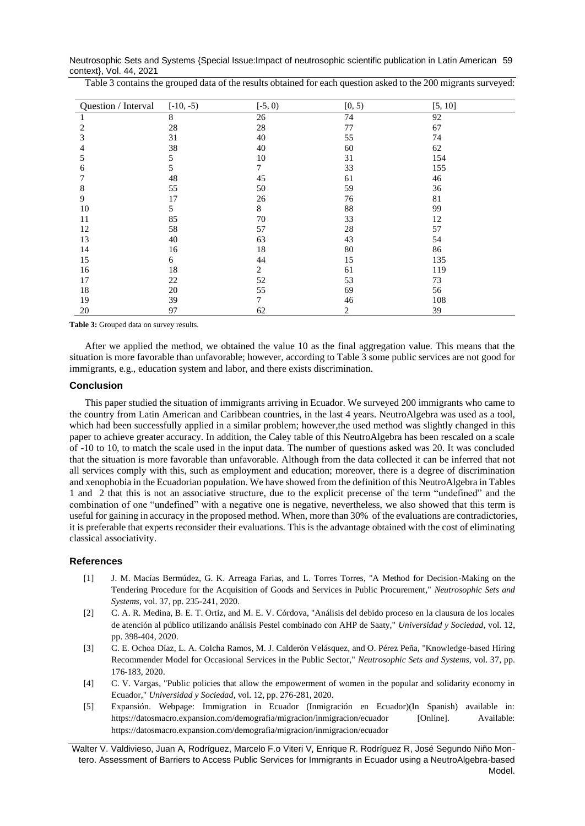Neutrosophic Sets and Systems {Special Issue:Impact of neutrosophic scientific publication in Latin American 59 context}, Vol. 44, 2021

| Table 3 contains the grouped data of the results obtained for each question asked to the 200 migrants surveyed: |
|-----------------------------------------------------------------------------------------------------------------|
|-----------------------------------------------------------------------------------------------------------------|

| Question / Interval | $[-10, -5)$ | $[-5, 0)$ | [0, 5) | [5, 10] |
|---------------------|-------------|-----------|--------|---------|
|                     | $\,8\,$     | 26        | 74     | 92      |
| 2                   | 28          | 28        | 77     | 67      |
| 3                   | 31          | 40        | 55     | 74      |
| 4                   | 38          | 40        | 60     | 62      |
| 5                   | 5           | 10        | 31     | 154     |
| 6                   | 5           | 7         | 33     | 155     |
|                     | 48          | 45        | 61     | 46      |
| 8                   | 55          | 50        | 59     | 36      |
| 9                   | 17          | 26        | 76     | 81      |
| 10                  | 5           | 8         | 88     | 99      |
| 11                  | 85          | 70        | 33     | 12      |
| 12                  | 58          | 57        | 28     | 57      |
| 13                  | 40          | 63        | 43     | 54      |
| 14                  | 16          | 18        | 80     | 86      |
| 15                  | 6           | 44        | 15     | 135     |
| 16                  | 18          | 2         | 61     | 119     |
| 17                  | 22          | 52        | 53     | 73      |
| 18                  | 20          | 55        | 69     | 56      |
| 19                  | 39          | 7         | 46     | 108     |
| 20                  | 97          | 62        | 2      | 39      |

**Table 3:** Grouped data on survey results.

After we applied the method, we obtained the value 10 as the final aggregation value. This means that the situation is more favorable than unfavorable; however, according to Table 3 some public services are not good for immigrants, e.g., education system and labor, and there exists discrimination.

# **Conclusion**

This paper studied the situation of immigrants arriving in Ecuador. We surveyed 200 immigrants who came to the country from Latin American and Caribbean countries, in the last 4 years. NeutroAlgebra was used as a tool, which had been successfully applied in a similar problem; however,the used method was slightly changed in this paper to achieve greater accuracy. In addition, the Caley table of this NeutroAlgebra has been rescaled on a scale of -10 to 10, to match the scale used in the input data. The number of questions asked was 20. It was concluded that the situation is more favorable than unfavorable. Although from the data collected it can be inferred that not all services comply with this, such as employment and education; moreover, there is a degree of discrimination and xenophobia in the Ecuadorian population. We have showed from the definition of this NeutroAlgebra in Tables 1 and 2 that this is not an associative structure, due to the explicit precense of the term "undefined" and the combination of one "undefined" with a negative one is negative, nevertheless, we also showed that this term is useful for gaining in accuracy in the proposed method. When, more than 30% of the evaluations are contradictories, it is preferable that experts reconsider their evaluations. This is the advantage obtained with the cost of eliminating classical associativity.

# **References**

- <span id="page-6-0"></span>[1] J. M. Macías Bermúdez, G. K. Arreaga Farias, and L. Torres Torres, "A Method for Decision-Making on the Tendering Procedure for the Acquisition of Goods and Services in Public Procurement," *Neutrosophic Sets and Systems,* vol. 37, pp. 235-241, 2020.
- [2] C. A. R. Medina, B. E. T. Ortiz, and M. E. V. Córdova, "Análisis del debido proceso en la clausura de los locales de atención al público utilizando análisis Pestel combinado con AHP de Saaty," *Universidad y Sociedad,* vol. 12, pp. 398-404, 2020.
- [3] C. E. Ochoa Díaz, L. A. Colcha Ramos, M. J. Calderón Velásquez, and O. Pérez Peña, "Knowledge-based Hiring Recommender Model for Occasional Services in the Public Sector," *Neutrosophic Sets and Systems,* vol. 37, pp. 176-183, 2020.
- [4] C. V. Vargas, "Public policies that allow the empowerment of women in the popular and solidarity economy in Ecuador," *Universidad y Sociedad,* vol. 12, pp. 276-281, 2020.
- <span id="page-6-1"></span>[5] Expansión. Webpage: Immigration in Ecuador (Inmigración en Ecuador)(In Spanish) available in: https://datosmacro.expansion.com/demografia/migracion/inmigracion/ecuador [Online]. Available: https://datosmacro.expansion.com/demografia/migracion/inmigracion/ecuador

Walter V. Valdivieso, Juan A, Rodríguez, Marcelo F.o Viteri V, Enrique R. Rodríguez R, José Segundo Niño Montero. Assessment of Barriers to Access Public Services for Immigrants in Ecuador using a NeutroAlgebra-based Model.